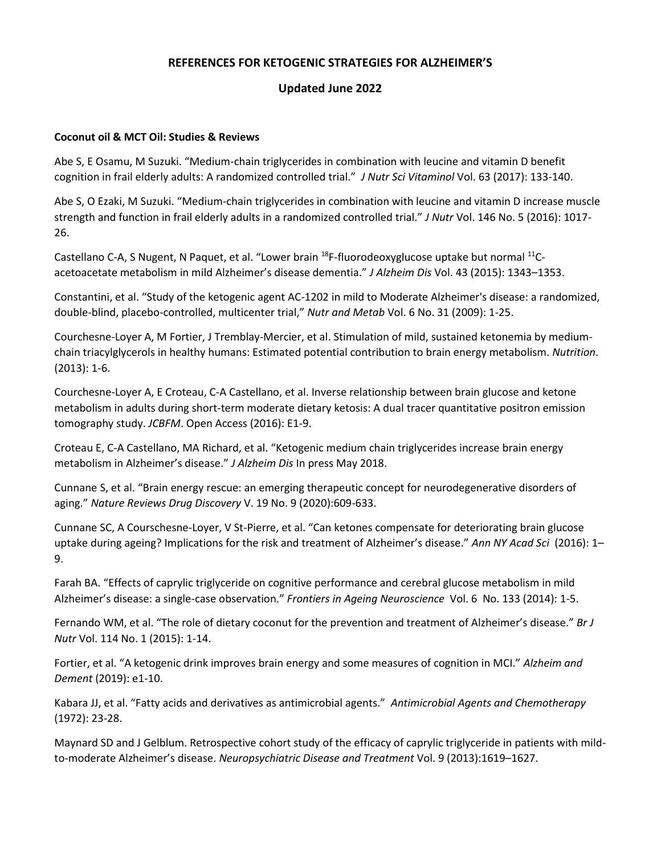## **REFERENCES FOR KETOGENIC STRATEGIES FOR ALZHEIMER'S**

## **Updated June 2022**

## **Coconut oil & MCT Oil: Studies & Reviews**

Abe S, E Osamu, M Suzuki. "Medium-chain triglycerides in combination with leucine and vitamin D benefit cognition in frail elderly adults: A randomized controlled trial." *J Nutr Sci Vitaminol* Vol. 63 (2017): 133-140.

Abe S, O Ezaki, M Suzuki. "Medium-chain triglycerides in combination with leucine and vitamin D increase muscle strength and function in frail elderly adults in a randomized controlled trial." *J Nutr* Vol. 146 No. 5 (2016): 1017- 26.

Castellano C-A, S Nugent, N Paquet, et al. "Lower brain <sup>18</sup>F-fluorodeoxyglucose uptake but normal <sup>11</sup>Cacetoacetate metabolism in mild Alzheimer's disease dementia." *J Alzheim Dis* Vol. 43 (2015): 1343–1353.

Constantini, et al. "Study of the ketogenic agent AC-1202 in mild to Moderate Alzheimer's disease: a randomized, double-blind, placebo-controlled, multicenter trial," *Nutr and Metab* Vol. 6 No. 31 (2009): 1-25.

Courchesne-Loyer A, M Fortier, J Tremblay-Mercier, et al. Stimulation of mild, sustained ketonemia by mediumchain triacylglycerols in healthy humans: Estimated potential contribution to brain energy metabolism. *Nutrition*. (2013): 1-6.

Courchesne-Loyer A, E Croteau, C-A Castellano, et al. Inverse relationship between brain glucose and ketone metabolism in adults during short-term moderate dietary ketosis: A dual tracer quantitative positron emission tomography study. *JCBFM*. Open Access (2016): E1-9.

Croteau E, C-A Castellano, MA Richard, et al. "Ketogenic medium chain triglycerides increase brain energy metabolism in Alzheimer's disease." *J Alzheim Dis* In press May 2018.

Cunnane S, et al. "Brain energy rescue: an emerging therapeutic concept for neurodegenerative disorders of aging." *Nature Reviews Drug Discovery* V. 19 No. 9 (2020):609-633.

Cunnane SC, A Courschesne-Loyer, V St-Pierre, et al. "Can ketones compensate for deteriorating brain glucose uptake during ageing? Implications for the risk and treatment of Alzheimer's disease." *Ann NY Acad Sci* (2016): 1– 9.

Farah BA. "Effects of caprylic triglyceride on cognitive performance and cerebral glucose metabolism in mild Alzheimer's disease: a single-case observation." *Frontiers in Ageing Neuroscience* Vol. 6 No. 133 (2014): 1-5.

Fernando WM, et al. "The role of dietary coconut for the prevention and treatment of Alzheimer's disease." *Br J Nutr* Vol. 114 No. 1 (2015): 1-14.

Fortier, et al. "A ketogenic drink improves brain energy and some measures of cognition in MCI." *Alzheim and Dement* (2019): e1-10.

Kabara JJ, et al. "Fatty acids and derivatives as antimicrobial agents." *Antimicrobial Agents and Chemotherapy* (1972): 23-28.

Maynard SD and J Gelblum. Retrospective cohort study of the efficacy of caprylic triglyceride in patients with mildto-moderate Alzheimer's disease. *Neuropsychiatric Disease and Treatment* Vol. 9 (2013):1619–1627.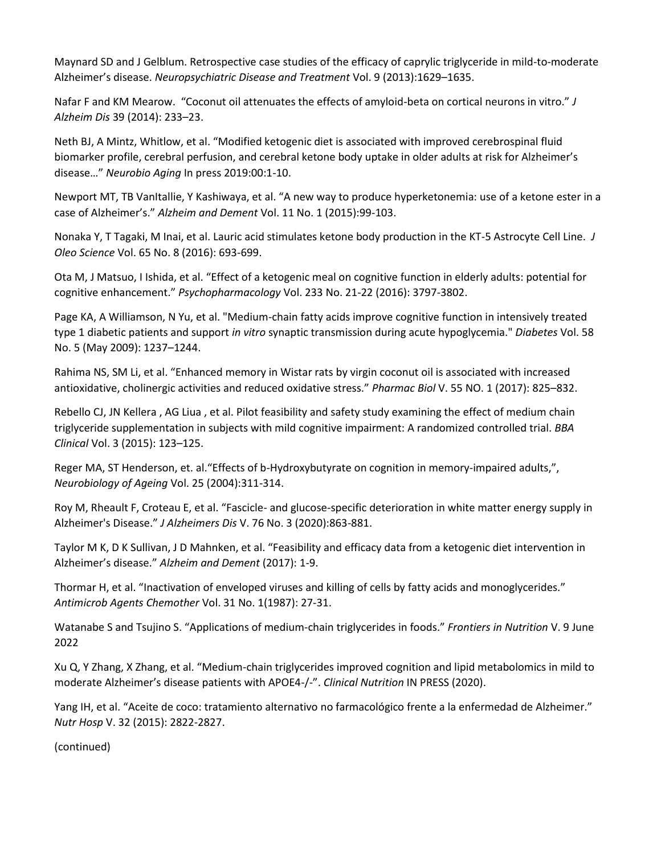Maynard SD and J Gelblum. Retrospective case studies of the efficacy of caprylic triglyceride in mild-to-moderate Alzheimer's disease. *Neuropsychiatric Disease and Treatment* Vol. 9 (2013):1629–1635.

Nafar F and KM Mearow. "Coconut oil attenuates the effects of amyloid-beta on cortical neurons in vitro." *J Alzheim Dis* 39 (2014): 233–23.

Neth BJ, A Mintz, Whitlow, et al. "Modified ketogenic diet is associated with improved cerebrospinal fluid biomarker profile, cerebral perfusion, and cerebral ketone body uptake in older adults at risk for Alzheimer's disease…" *Neurobio Aging* In press 2019:00:1-10.

Newport MT, TB VanItallie, Y Kashiwaya, et al. "A new way to produce hyperketonemia: use of a ketone ester in a case of Alzheimer's." *Alzheim and Dement* Vol. 11 No. 1 (2015):99-103.

Nonaka Y, T Tagaki, M Inai, et al. Lauric acid stimulates ketone body production in the KT-5 Astrocyte Cell Line. *J Oleo Science* Vol. 65 No. 8 (2016): 693-699.

Ota M, J Matsuo, I Ishida, et al. "Effect of a ketogenic meal on cognitive function in elderly adults: potential for cognitive enhancement." *Psychopharmacology* Vol. 233 No. 21-22 (2016): 3797-3802.

Page KA, A Williamson, N Yu, et al. "Medium-chain fatty acids improve cognitive function in intensively treated type 1 diabetic patients and support *in vitro* synaptic transmission during acute hypoglycemia." *Diabetes* Vol. 58 No. 5 (May 2009): 1237–1244.

Rahima NS, SM Li, et al. "Enhanced memory in Wistar rats by virgin coconut oil is associated with increased antioxidative, cholinergic activities and reduced oxidative stress." *Pharmac Biol* V. 55 NO. 1 (2017): 825–832.

Rebello CJ, JN Kellera , AG Liua , et al. Pilot feasibility and safety study examining the effect of medium chain triglyceride supplementation in subjects with mild cognitive impairment: A randomized controlled trial. *BBA Clinical* Vol. 3 (2015): 123–125.

Reger MA, ST Henderson, et. al. "Effects of b-Hydroxybutyrate on cognition in memory-impaired adults,", *Neurobiology of Ageing* Vol. 25 (2004):311-314.

Roy M, Rheault F, Croteau E, et al. "Fascicle- and glucose-specific deterioration in white matter energy supply in Alzheimer's Disease." *J Alzheimers Dis* V. 76 No. 3 (2020):863-881.

Taylor M K, D K Sullivan, J D Mahnken, et al. "Feasibility and efficacy data from a ketogenic diet intervention in Alzheimer's disease." *Alzheim and Dement* (2017): 1-9.

Thormar H, et al. "Inactivation of enveloped viruses and killing of cells by fatty acids and monoglycerides." *Antimicrob Agents Chemother* Vol. 31 No. 1(1987): 27-31.

Watanabe S and Tsujino S. "Applications of medium-chain triglycerides in foods." *Frontiers in Nutrition* V. 9 June 2022

Xu Q, Y Zhang, X Zhang, et al. "Medium-chain triglycerides improved cognition and lipid metabolomics in mild to moderate Alzheimer's disease patients with APOE4-/-". *Clinical Nutrition* IN PRESS (2020).

Yang IH, et al. "Aceite de coco: tratamiento alternativo no farmacológico frente a la enfermedad de Alzheimer." *Nutr Hosp* V. 32 (2015): 2822-2827.

(continued)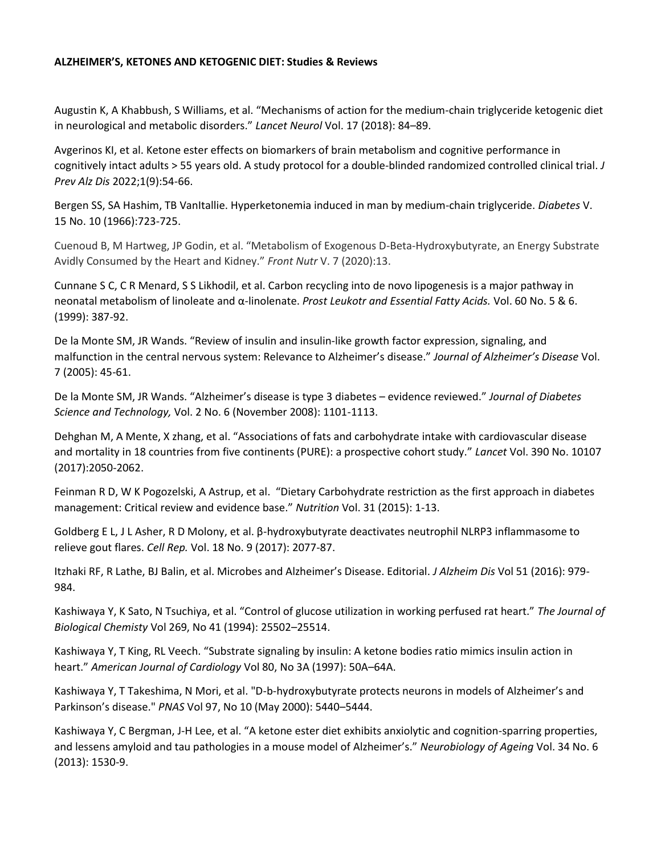## **ALZHEIMER'S, KETONES AND KETOGENIC DIET: Studies & Reviews**

Augustin K, A Khabbush, S Williams, et al. "Mechanisms of action for the medium-chain triglyceride ketogenic diet in neurological and metabolic disorders." *Lancet Neurol* Vol. 17 (2018): 84–89.

Avgerinos KI, et al. Ketone ester effects on biomarkers of brain metabolism and cognitive performance in cognitively intact adults > 55 years old. A study protocol for a double-blinded randomized controlled clinical trial. *J Prev Alz Dis* 2022;1(9):54-66.

Bergen SS, SA Hashim, TB VanItallie. Hyperketonemia induced in man by medium-chain triglyceride. *Diabetes* V. 15 No. 10 (1966):723-725.

Cuenoud B, M Hartweg, JP Godin, et al. "Metabolism of Exogenous D-Beta-Hydroxybutyrate, an Energy Substrate Avidly Consumed by the Heart and Kidney." *Front Nutr* V. 7 (2020):13.

Cunnane S C, C R Menard, S S Likhodil, et al. Carbon recycling into de novo lipogenesis is a major pathway in neonatal metabolism of linoleate and α-linolenate. *Prost Leukotr and Essential Fatty Acids.* Vol. 60 No. 5 & 6. (1999): 387-92.

De la Monte SM, JR Wands. "Review of insulin and insulin-like growth factor expression, signaling, and malfunction in the central nervous system: Relevance to Alzheimer's disease." *Journal of Alzheimer's Disease* Vol. 7 (2005): 45-61.

De la Monte SM, JR Wands. "Alzheimer's disease is type 3 diabetes – evidence reviewed." *Journal of Diabetes Science and Technology,* Vol. 2 No. 6 (November 2008): 1101-1113.

Dehghan M, A Mente, X zhang, et al. "Associations of fats and carbohydrate intake with cardiovascular disease and mortality in 18 countries from five continents (PURE): a prospective cohort study." *Lancet* Vol. 390 No. 10107 (2017):2050-2062.

Feinman R D, W K Pogozelski, A Astrup, et al. "Dietary Carbohydrate restriction as the first approach in diabetes management: Critical review and evidence base." *Nutrition* Vol. 31 (2015): 1-13.

Goldberg E L, J L Asher, R D Molony, et al. β-hydroxybutyrate deactivates neutrophil NLRP3 inflammasome to relieve gout flares. *Cell Rep.* Vol. 18 No. 9 (2017): 2077-87.

Itzhaki RF, R Lathe, BJ Balin, et al. Microbes and Alzheimer's Disease. Editorial. *J Alzheim Dis* Vol 51 (2016): 979- 984.

Kashiwaya Y, K Sato, N Tsuchiya, et al. "Control of glucose utilization in working perfused rat heart." *The Journal of Biological Chemisty* Vol 269, No 41 (1994): 25502–25514.

Kashiwaya Y, T King, RL Veech. "Substrate signaling by insulin: A ketone bodies ratio mimics insulin action in heart." *American Journal of Cardiology* Vol 80, No 3A (1997): 50A–64A.

Kashiwaya Y, T Takeshima, N Mori, et al. "D-b-hydroxybutyrate protects neurons in models of Alzheimer's and Parkinson's disease." *PNAS* Vol 97, No 10 (May 2000): 5440–5444.

Kashiwaya Y, C Bergman, J-H Lee, et al. "A ketone ester diet exhibits anxiolytic and cognition-sparring properties, and lessens amyloid and tau pathologies in a mouse model of Alzheimer's." *Neurobiology of Ageing* Vol. 34 No. 6 (2013): 1530-9.